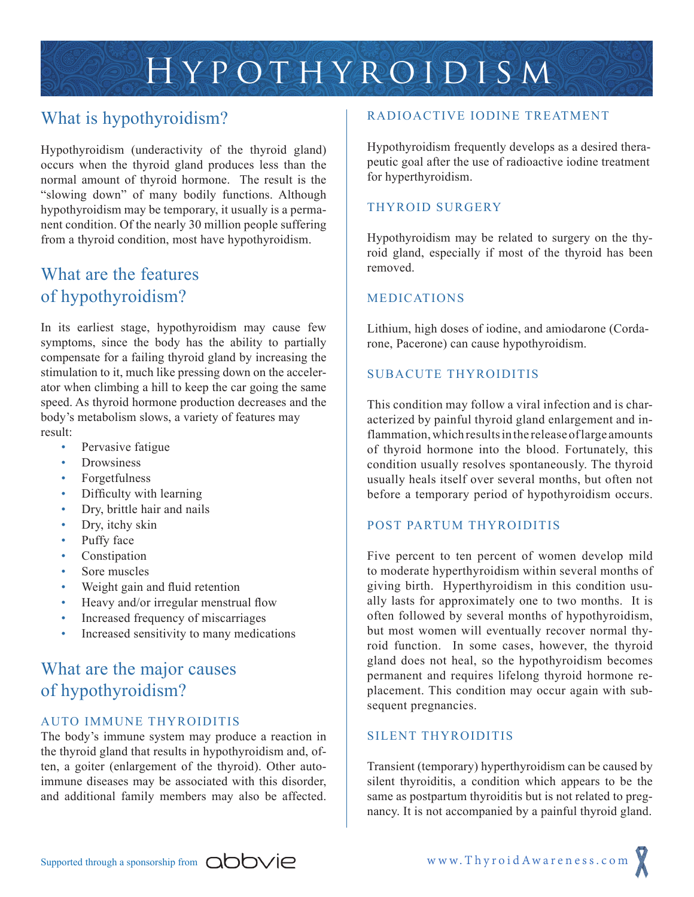# Hypothyroidism

# What is hypothyroidism?

Hypothyroidism (underactivity of the thyroid gland) occurs when the thyroid gland produces less than the normal amount of thyroid hormone. The result is the "slowing down" of many bodily functions. Although hypothyroidism may be temporary, it usually is a permanent condition. Of the nearly 30 million people suffering from a thyroid condition, most have hypothyroidism.

## What are the features of hypothyroidism?

In its earliest stage, hypothyroidism may cause few symptoms, since the body has the ability to partially compensate for a failing thyroid gland by increasing the stimulation to it, much like pressing down on the accelerator when climbing a hill to keep the car going the same speed. As thyroid hormone production decreases and the body's metabolism slows, a variety of features may result:

- Pervasive fatigue
- **Drowsiness**
- Forgetfulness
- Difficulty with learning
- Dry, brittle hair and nails
- Dry, itchy skin
- Puffy face
- Constipation
- Sore muscles
- Weight gain and fluid retention
- Heavy and/or irregular menstrual flow
- Increased frequency of miscarriages
- Increased sensitivity to many medications

# What are the major causes of hypothyroidism?

#### AUTO IMMUNE THYROIDITIS

The body's immune system may produce a reaction in the thyroid gland that results in hypothyroidism and, often, a goiter (enlargement of the thyroid). Other autoimmune diseases may be associated with this disorder, and additional family members may also be affected.

#### RADIOACTIVE IODINE TREATMENT

Hypothyroidism frequently develops as a desired therapeutic goal after the use of radioactive iodine treatment for hyperthyroidism.

#### THYROID SURGERY

Hypothyroidism may be related to surgery on the thyroid gland, especially if most of the thyroid has been removed.

#### MEDICATIONS

Lithium, high doses of iodine, and amiodarone (Cordarone, Pacerone) can cause hypothyroidism.

### SUBACUTE THYROIDITIS

This condition may follow a viral infection and is characterized by painful thyroid gland enlargement and inflammation, which results in the release of large amounts of thyroid hormone into the blood. Fortunately, this condition usually resolves spontaneously. The thyroid usually heals itself over several months, but often not before a temporary period of hypothyroidism occurs.

#### POST PARTUM THYROIDITIS

Five percent to ten percent of women develop mild to moderate hyperthyroidism within several months of giving birth. Hyperthyroidism in this condition usually lasts for approximately one to two months. It is often followed by several months of hypothyroidism, but most women will eventually recover normal thyroid function. In some cases, however, the thyroid gland does not heal, so the hypothyroidism becomes permanent and requires lifelong thyroid hormone replacement. This condition may occur again with subsequent pregnancies.

## SILENT THYROIDITIS

Transient (temporary) hyperthyroidism can be caused by silent thyroiditis, a condition which appears to be the same as postpartum thyroiditis but is not related to pregnancy. It is not accompanied by a painful thyroid gland.